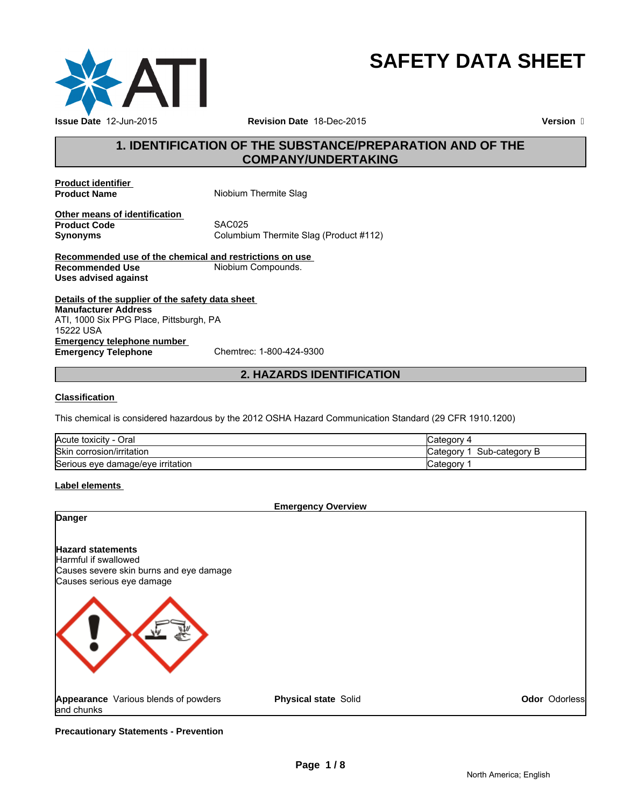

# **SAFETY DATA SHEET**

**Version** 

# **1. IDENTIFICATION OF THE SUBSTANCE/PREPARATION AND OF THE COMPANY/UNDERTAKING**

**Product identifier** 

**Product Name** Niobium Thermite Slag

**Other means of identification Product Code** 

**Synonyms** Columbium Thermite Slag (Product #112)

**Recommended use of the chemical and restrictions on use Niobium Compounds. Uses advised against**

**Details of the supplier of the safety data sheet Emergency telephone number<br>
Emergency Telephone**<br>
Chemtrec: 1-800-424-9300 **Emergency Telephone Manufacturer Address** ATI, 1000 Six PPG Place, Pittsburgh, PA 15222 USA

# **2. HAZARDS IDENTIFICATION**

# **Classification**

This chemical is considered hazardous by the 2012 OSHA Hazard Communication Standard (29 CFR 1910.1200)

| $\sim$<br>.<br>Oral<br><b>Acute</b><br>toxicity<br>- 1 | ategorٽ<br>◢                |
|--------------------------------------------------------|-----------------------------|
| <b>Skin</b><br>corrosion/irritation                    | Sub-category B<br>شcategor⊽ |
| Serious eye damage/eye irritation                      | Categor                     |

# **Label elements**

| <b>Emergency Overview</b>                                                                                                |                             |               |  |
|--------------------------------------------------------------------------------------------------------------------------|-----------------------------|---------------|--|
| Danger                                                                                                                   |                             |               |  |
| <b>Hazard statements</b><br>Harmful if swallowed<br>Causes severe skin burns and eye damage<br>Causes serious eye damage |                             |               |  |
|                                                                                                                          |                             |               |  |
| Appearance Various blends of powders<br>and chunks                                                                       | <b>Physical state Solid</b> | Odor Odorless |  |

**Precautionary Statements - Prevention**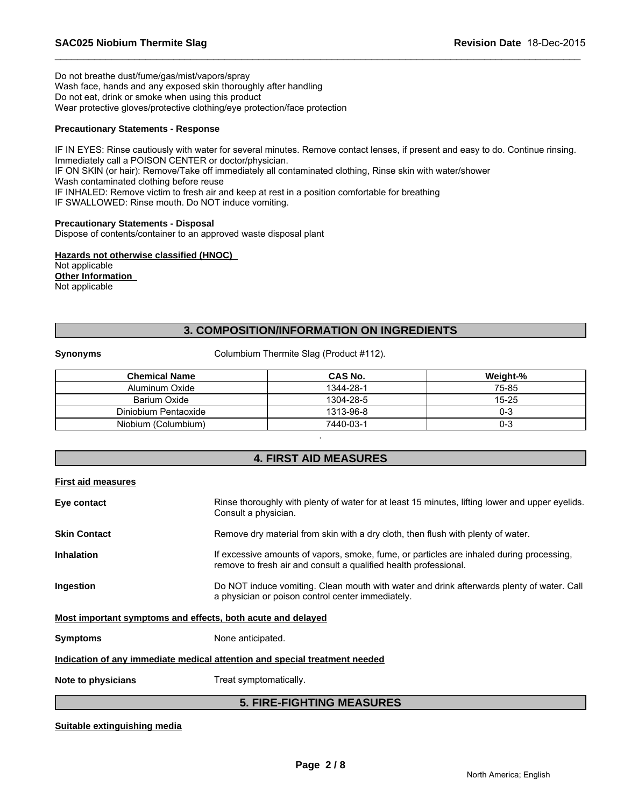Do not breathe dust/fume/gas/mist/vapors/spray Wash face, hands and any exposed skin thoroughly after handling Do not eat, drink or smoke when using this product Wear protective gloves/protective clothing/eye protection/face protection

# **Precautionary Statements - Response**

IF IN EYES: Rinse cautiously with water for several minutes. Remove contact lenses, if present and easy to do. Continue rinsing. Immediately call a POISON CENTER or doctor/physician. IF ON SKIN (or hair): Remove/Take off immediately all contaminated clothing, Rinse skin with water/shower Wash contaminated clothing before reuse IF INHALED: Remove victim to fresh air and keep at rest in a position comfortable for breathing IF SWALLOWED: Rinse mouth. Do NOT induce vomiting.

\_\_\_\_\_\_\_\_\_\_\_\_\_\_\_\_\_\_\_\_\_\_\_\_\_\_\_\_\_\_\_\_\_\_\_\_\_\_\_\_\_\_\_\_\_\_\_\_\_\_\_\_\_\_\_\_\_\_\_\_\_\_\_\_\_\_\_\_\_\_\_\_\_\_\_\_\_\_\_\_\_\_\_\_\_\_\_\_\_\_\_\_\_

# **Precautionary Statements - Disposal**

Dispose of contents/container to an approved waste disposal plant

**Hazards not otherwise classified (HNOC)**  Not applicable **Other Information**  Not applicable

# **3. COMPOSITION/INFORMATION ON INGREDIENTS**

**Synonyms** Columbium Thermite Slag (Product #112).

| <b>Chemical Name</b> | <b>CAS No.</b> | Weight-%  |
|----------------------|----------------|-----------|
| Aluminum Oxide       | 1344-28-1      | 75-85     |
| Barium Oxide         | 1304-28-5      | $15 - 25$ |
| Diniobium Pentaoxide | 1313-96-8      | 0-3       |
| Niobium (Columbium)  | 7440-03-1      | 0-3       |

# **4. FIRST AID MEASURES**

.

|  | <b>First aid measures</b> |  |
|--|---------------------------|--|
|  |                           |  |

| Eye contact                                                                | Rinse thoroughly with plenty of water for at least 15 minutes, lifting lower and upper eyelids.<br>Consult a physician.                                      |  |  |
|----------------------------------------------------------------------------|--------------------------------------------------------------------------------------------------------------------------------------------------------------|--|--|
| <b>Skin Contact</b>                                                        | Remove dry material from skin with a dry cloth, then flush with plenty of water.                                                                             |  |  |
| <b>Inhalation</b>                                                          | If excessive amounts of vapors, smoke, fume, or particles are inhaled during processing,<br>remove to fresh air and consult a qualified health professional. |  |  |
| Ingestion                                                                  | Do NOT induce vomiting. Clean mouth with water and drink afterwards plenty of water. Call<br>a physician or poison control center immediately.               |  |  |
| Most important symptoms and effects, both acute and delayed                |                                                                                                                                                              |  |  |
| <b>Symptoms</b>                                                            | None anticipated.                                                                                                                                            |  |  |
| Indication of any immediate medical attention and special treatment needed |                                                                                                                                                              |  |  |
| Note to physicians                                                         | Treat symptomatically.                                                                                                                                       |  |  |
|                                                                            |                                                                                                                                                              |  |  |

# **5. FIRE-FIGHTING MEASURES**

# **Suitable extinguishing media**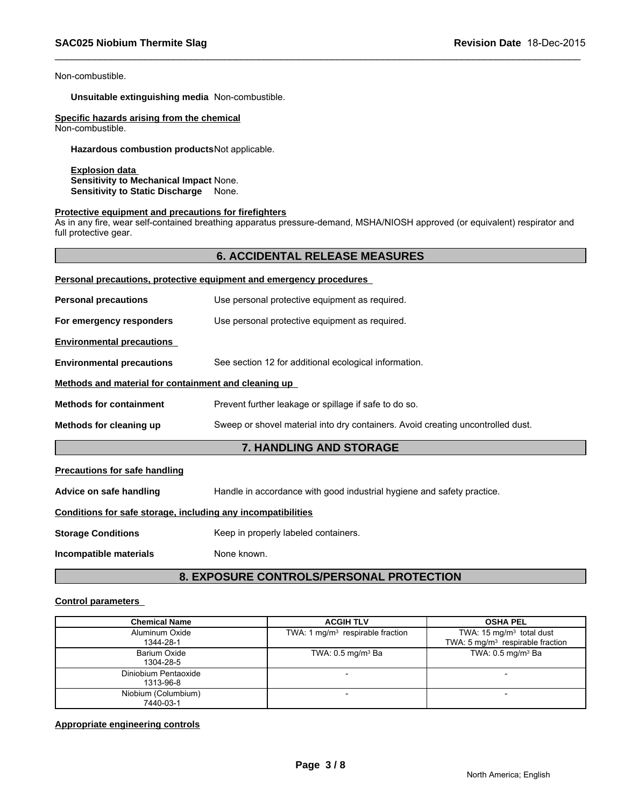Non-combustible.

**Unsuitable extinguishing media** Non-combustible.

**Specific hazards arising from the chemical** Non-combustible.

**Hazardous combustion products**Not applicable.

**Explosion data Sensitivity to Mechanical Impact** None. **Sensitivity to Static Discharge** None.

#### **Protective equipment and precautions for firefighters**

As in any fire, wear self-contained breathing apparatus pressure-demand, MSHA/NIOSH approved (or equivalent) respirator and full protective gear.

\_\_\_\_\_\_\_\_\_\_\_\_\_\_\_\_\_\_\_\_\_\_\_\_\_\_\_\_\_\_\_\_\_\_\_\_\_\_\_\_\_\_\_\_\_\_\_\_\_\_\_\_\_\_\_\_\_\_\_\_\_\_\_\_\_\_\_\_\_\_\_\_\_\_\_\_\_\_\_\_\_\_\_\_\_\_\_\_\_\_\_\_\_

# **6. ACCIDENTAL RELEASE MEASURES**

|                                                      | Personal precautions, protective equipment and emergency procedures             |  |  |
|------------------------------------------------------|---------------------------------------------------------------------------------|--|--|
| <b>Personal precautions</b>                          | Use personal protective equipment as required.                                  |  |  |
| For emergency responders                             | Use personal protective equipment as required.                                  |  |  |
| <b>Environmental precautions</b>                     |                                                                                 |  |  |
| <b>Environmental precautions</b>                     | See section 12 for additional ecological information.                           |  |  |
| Methods and material for containment and cleaning up |                                                                                 |  |  |
| <b>Methods for containment</b>                       | Prevent further leakage or spillage if safe to do so.                           |  |  |
| Methods for cleaning up                              | Sweep or shovel material into dry containers. Avoid creating uncontrolled dust. |  |  |
| 7. HANDLING AND STORAGE                              |                                                                                 |  |  |
| <b>Precautions for safe handling</b>                 |                                                                                 |  |  |

**Advice on safe handling** Handle in accordance with good industrial hygiene and safety practice.

# **Conditions for safe storage, including any incompatibilities**

**Storage Conditions** Keep in properly labeled containers.

**Incompatible materials** None known.

# **8. EXPOSURE CONTROLS/PERSONAL PROTECTION**

#### **Control parameters**

| <b>Chemical Name</b>              | <b>ACGIH TLV</b>                   | <b>OSHA PEL</b>                                                                    |
|-----------------------------------|------------------------------------|------------------------------------------------------------------------------------|
| Aluminum Oxide<br>1344-28-1       | TWA: 1 $mg/m3$ respirable fraction | TWA: $15 \text{ mg/m}^3$ total dust<br>TWA: $5 \text{ mg/m}^3$ respirable fraction |
| Barium Oxide<br>1304-28-5         | TWA: $0.5 \text{ mg/m}^3$ Ba       | TWA: $0.5 \text{ mg/m}^3$ Ba                                                       |
| Diniobium Pentaoxide<br>1313-96-8 |                                    |                                                                                    |
| Niobium (Columbium)<br>7440-03-1  | $\overline{\phantom{a}}$           | -                                                                                  |

#### **Appropriate engineering controls**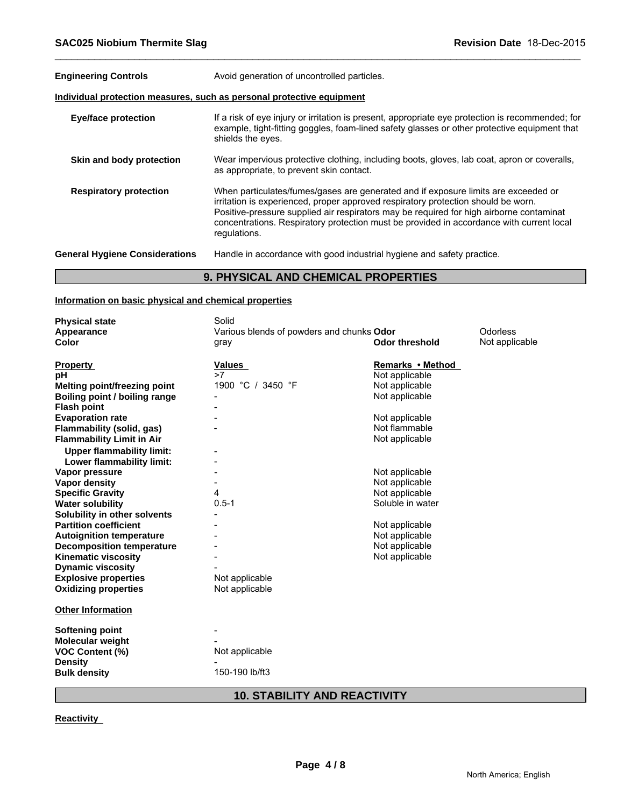| <b>Engineering Controls</b>                                           | Avoid generation of uncontrolled particles.                                                                                                                                                                                                                                                                                                                                    |  |  |  |
|-----------------------------------------------------------------------|--------------------------------------------------------------------------------------------------------------------------------------------------------------------------------------------------------------------------------------------------------------------------------------------------------------------------------------------------------------------------------|--|--|--|
| Individual protection measures, such as personal protective equipment |                                                                                                                                                                                                                                                                                                                                                                                |  |  |  |
| <b>Eye/face protection</b>                                            | If a risk of eye injury or irritation is present, appropriate eye protection is recommended; for<br>example, tight-fitting goggles, foam-lined safety glasses or other protective equipment that<br>shields the eyes.                                                                                                                                                          |  |  |  |
| Skin and body protection                                              | Wear impervious protective clothing, including boots, gloves, lab coat, apron or coveralls,<br>as appropriate, to prevent skin contact.                                                                                                                                                                                                                                        |  |  |  |
| <b>Respiratory protection</b>                                         | When particulates/fumes/gases are generated and if exposure limits are exceeded or<br>irritation is experienced, proper approved respiratory protection should be worn.<br>Positive-pressure supplied air respirators may be required for high airborne contaminat<br>concentrations. Respiratory protection must be provided in accordance with current local<br>regulations. |  |  |  |
| <b>General Hygiene Considerations</b>                                 | Handle in accordance with good industrial hygiene and safety practice.                                                                                                                                                                                                                                                                                                         |  |  |  |
|                                                                       | A BUVAIA U JUB AUFHUAJI BRABEBTIEA                                                                                                                                                                                                                                                                                                                                             |  |  |  |

\_\_\_\_\_\_\_\_\_\_\_\_\_\_\_\_\_\_\_\_\_\_\_\_\_\_\_\_\_\_\_\_\_\_\_\_\_\_\_\_\_\_\_\_\_\_\_\_\_\_\_\_\_\_\_\_\_\_\_\_\_\_\_\_\_\_\_\_\_\_\_\_\_\_\_\_\_\_\_\_\_\_\_\_\_\_\_\_\_\_\_\_\_

# **9. PHYSICAL AND CHEMICAL PROPERTIES**

# **Information on basic physical and chemical properties**

| Solid             |                                        |                                                                                                                                                                                                               |
|-------------------|----------------------------------------|---------------------------------------------------------------------------------------------------------------------------------------------------------------------------------------------------------------|
|                   |                                        | Odorless                                                                                                                                                                                                      |
| gray              | <b>Odor threshold</b>                  | Not applicable                                                                                                                                                                                                |
| <b>Values</b>     | Remarks • Method                       |                                                                                                                                                                                                               |
|                   |                                        |                                                                                                                                                                                                               |
| 1900 °C / 3450 °F | Not applicable                         |                                                                                                                                                                                                               |
|                   | Not applicable                         |                                                                                                                                                                                                               |
|                   |                                        |                                                                                                                                                                                                               |
|                   | Not applicable                         |                                                                                                                                                                                                               |
|                   | Not flammable                          |                                                                                                                                                                                                               |
|                   | Not applicable                         |                                                                                                                                                                                                               |
|                   |                                        |                                                                                                                                                                                                               |
|                   |                                        |                                                                                                                                                                                                               |
|                   |                                        |                                                                                                                                                                                                               |
|                   |                                        |                                                                                                                                                                                                               |
| 4                 |                                        |                                                                                                                                                                                                               |
| $0.5 - 1$         |                                        |                                                                                                                                                                                                               |
|                   |                                        |                                                                                                                                                                                                               |
|                   |                                        |                                                                                                                                                                                                               |
|                   |                                        |                                                                                                                                                                                                               |
|                   |                                        |                                                                                                                                                                                                               |
|                   |                                        |                                                                                                                                                                                                               |
|                   |                                        |                                                                                                                                                                                                               |
|                   |                                        |                                                                                                                                                                                                               |
| Not applicable    |                                        |                                                                                                                                                                                                               |
|                   |                                        |                                                                                                                                                                                                               |
|                   |                                        |                                                                                                                                                                                                               |
|                   |                                        |                                                                                                                                                                                                               |
|                   |                                        |                                                                                                                                                                                                               |
|                   |                                        |                                                                                                                                                                                                               |
| 150-190 lb/ft3    |                                        |                                                                                                                                                                                                               |
|                   | >7<br>Not applicable<br>Not applicable | Various blends of powders and chunks Odor<br>Not applicable<br>Not applicable<br>Not applicable<br>Not applicable<br>Soluble in water<br>Not applicable<br>Not applicable<br>Not applicable<br>Not applicable |

# **10. STABILITY AND REACTIVITY**

**Reactivity**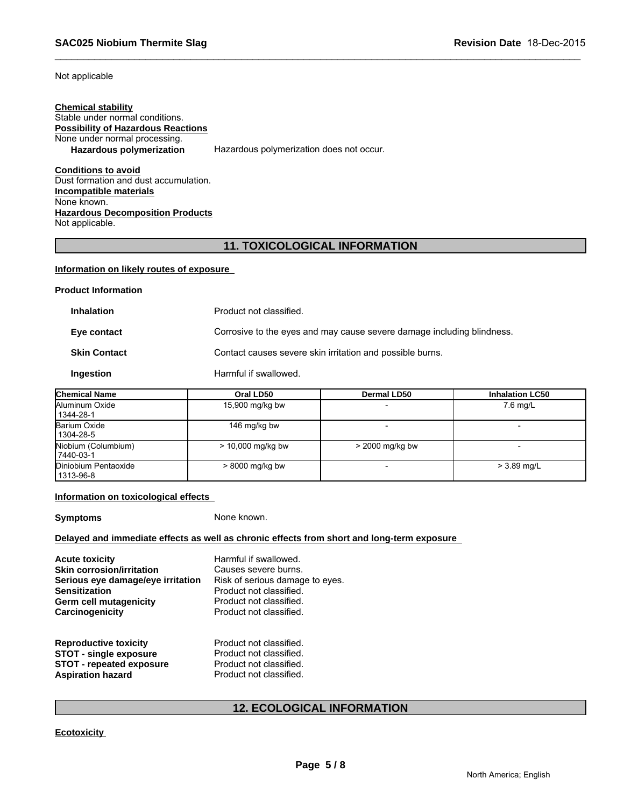Not applicable

# **Chemical stability** Stable under normal conditions. **Possibility of Hazardous Reactions** None under normal processing.<br>Hazardous polymerization Hazardous polymerization does not occur.

**Conditions to avoid** Dust formation and dust accumulation. **Incompatible materials** None known. **Hazardous Decomposition Products** Not applicable.

# **11. TOXICOLOGICAL INFORMATION**

\_\_\_\_\_\_\_\_\_\_\_\_\_\_\_\_\_\_\_\_\_\_\_\_\_\_\_\_\_\_\_\_\_\_\_\_\_\_\_\_\_\_\_\_\_\_\_\_\_\_\_\_\_\_\_\_\_\_\_\_\_\_\_\_\_\_\_\_\_\_\_\_\_\_\_\_\_\_\_\_\_\_\_\_\_\_\_\_\_\_\_\_\_

#### **Information on likely routes of exposure**

| <b>Product Information</b>                                                            |                         |                                                           |                        |  |  |
|---------------------------------------------------------------------------------------|-------------------------|-----------------------------------------------------------|------------------------|--|--|
| <b>Inhalation</b>                                                                     | Product not classified. |                                                           |                        |  |  |
| Corrosive to the eyes and may cause severe damage including blindness.<br>Eye contact |                         |                                                           |                        |  |  |
| <b>Skin Contact</b>                                                                   |                         | Contact causes severe skin irritation and possible burns. |                        |  |  |
| Ingestion                                                                             | Harmful if swallowed.   |                                                           |                        |  |  |
| <b>Chemical Name</b>                                                                  | Oral LD50               | Dermal LD50                                               | <b>Inhalation LC50</b> |  |  |
| .                                                                                     |                         |                                                           |                        |  |  |

| .                                 |                   |                 |               |  |
|-----------------------------------|-------------------|-----------------|---------------|--|
| Aluminum Oxide<br>1344-28-1       | 15,900 mg/kg bw   |                 | $7.6$ mg/L    |  |
| Barium Oxide<br>1304-28-5         | 146 mg/kg bw      |                 |               |  |
| Niobium (Columbium)<br>7440-03-1  | > 10,000 mg/kg bw | > 2000 mg/kg bw |               |  |
| Diniobium Pentaoxide<br>1313-96-8 | $>8000$ mg/kg bw  |                 | $> 3.89$ mg/L |  |

# **Information on toxicological effects**

**Symptoms** None known.

# **Delayed and immediate effects as well as chronic effects from short and long-term exposure**

| <b>Acute toxicity</b><br><b>Skin corrosion/irritation</b><br>Serious eye damage/eye irritation<br><b>Sensitization</b><br><b>Germ cell mutagenicity</b><br>Carcinogenicity | Harmful if swallowed.<br>Causes severe burns.<br>Risk of serious damage to eyes.<br>Product not classified.<br>Product not classified.<br>Product not classified. |  |
|----------------------------------------------------------------------------------------------------------------------------------------------------------------------------|-------------------------------------------------------------------------------------------------------------------------------------------------------------------|--|
| <b>Reproductive toxicity</b><br><b>STOT - single exposure</b><br><b>STOT - repeated exposure</b><br><b>Aspiration hazard</b>                                               | Product not classified.<br>Product not classified.<br>Product not classified.<br>Product not classified.                                                          |  |

# **12. ECOLOGICAL INFORMATION**

# **Ecotoxicity**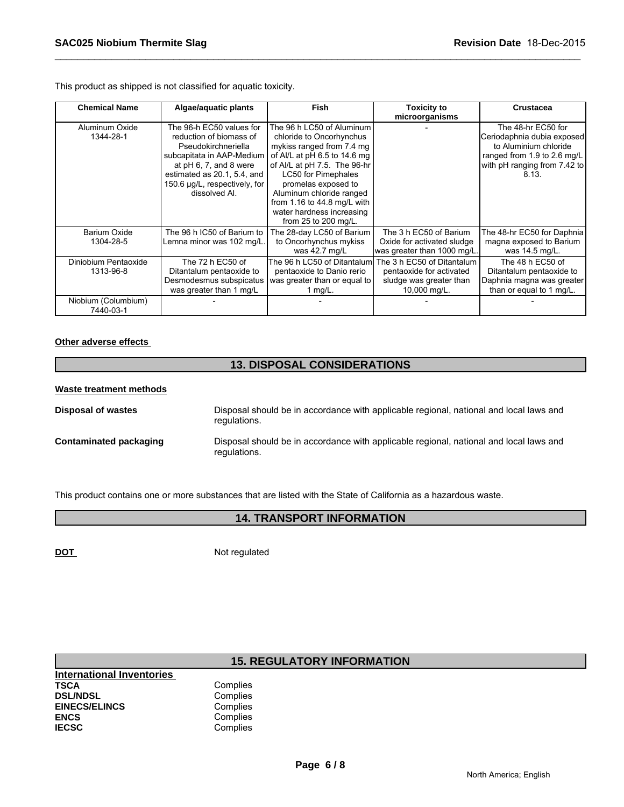This product as shipped is not classified for aquatic toxicity.

| <b>Chemical Name</b>              | Algae/aquatic plants                                                                                                                                                                                               | Fish                                                                                                                                                                                                                                                                                                                    | <b>Toxicity to</b><br>microorganisms                                                              | <b>Crustacea</b>                                                                                                                                  |
|-----------------------------------|--------------------------------------------------------------------------------------------------------------------------------------------------------------------------------------------------------------------|-------------------------------------------------------------------------------------------------------------------------------------------------------------------------------------------------------------------------------------------------------------------------------------------------------------------------|---------------------------------------------------------------------------------------------------|---------------------------------------------------------------------------------------------------------------------------------------------------|
| Aluminum Oxide<br>1344-28-1       | The 96-h EC50 values for<br>reduction of biomass of<br>Pseudokirchneriella<br>subcapitata in AAP-Medium<br>at pH 6, 7, and 8 were<br>estimated as 20.1, 5.4, and<br>150.6 µg/L, respectively, for<br>dissolved Al. | The 96 h LC50 of Aluminum<br>chloride to Oncorhynchus<br>mykiss ranged from 7.4 mg<br>of Al/L at pH 6.5 to 14.6 mg<br>of Al/L at pH 7.5. The 96-hr<br><b>LC50 for Pimephales</b><br>promelas exposed to<br>Aluminum chloride ranged<br>from 1.16 to 44.8 mg/L with<br>water hardness increasing<br>from 25 to 200 mg/L. |                                                                                                   | The 48-hr EC50 for<br>Ceriodaphnia dubia exposed<br>to Aluminium chloride<br>ranged from 1.9 to 2.6 mg/L<br>with pH ranging from 7.42 to<br>8.13. |
| Barium Oxide<br>1304-28-5         | The 96 h IC50 of Barium to<br>Lemna minor was 102 mg/L.                                                                                                                                                            | The 28-day LC50 of Barium<br>to Oncorhynchus mykiss<br>was 42.7 mg/L                                                                                                                                                                                                                                                    | The 3 h EC50 of Barium<br>Oxide for activated sludge<br>was greater than 1000 mg/L.               | The 48-hr EC50 for Daphnia<br>magna exposed to Barium<br>was 14.5 mg/L.                                                                           |
| Diniobium Pentaoxide<br>1313-96-8 | The 72 h EC50 of<br>Ditantalum pentaoxide to<br>Desmodesmus subspicatus<br>was greater than 1 mg/L                                                                                                                 | The 96 h LC50 of Ditantalum<br>pentaoxide to Danio rerio<br>was greater than or equal to<br>1 $mg/L$ .                                                                                                                                                                                                                  | The 3 h EC50 of Ditantalum<br>pentaoxide for activated<br>sludge was greater than<br>10,000 mg/L. | The 48 h EC50 of<br>Ditantalum pentaoxide to<br>Daphnia magna was greater<br>than or equal to 1 mg/L.                                             |
| Niobium (Columbium)<br>7440-03-1  |                                                                                                                                                                                                                    |                                                                                                                                                                                                                                                                                                                         |                                                                                                   |                                                                                                                                                   |

\_\_\_\_\_\_\_\_\_\_\_\_\_\_\_\_\_\_\_\_\_\_\_\_\_\_\_\_\_\_\_\_\_\_\_\_\_\_\_\_\_\_\_\_\_\_\_\_\_\_\_\_\_\_\_\_\_\_\_\_\_\_\_\_\_\_\_\_\_\_\_\_\_\_\_\_\_\_\_\_\_\_\_\_\_\_\_\_\_\_\_\_\_

# **Other adverse effects**

# **13. DISPOSAL CONSIDERATIONS Waste treatment methods Disposal of wastes** Disposal should be in accordance with applicable regional, national and local laws and regulations. **Contaminated packaging** Disposal should be in accordance with applicable regional, national and local laws and regulations.

This product contains one or more substances that are listed with the State of California as a hazardous waste.

# **14. TRANSPORT INFORMATION**

**DOT** Not regulated

# **15. REGULATORY INFORMATION**

| <b>International Inventories</b> |          |
|----------------------------------|----------|
| TSCA                             | Complies |
| <b>DSL/NDSL</b>                  | Complies |
| <b>EINECS/ELINCS</b>             | Complies |
| ENCS                             | Complies |
| <b>IECSC</b>                     | Complies |
|                                  |          |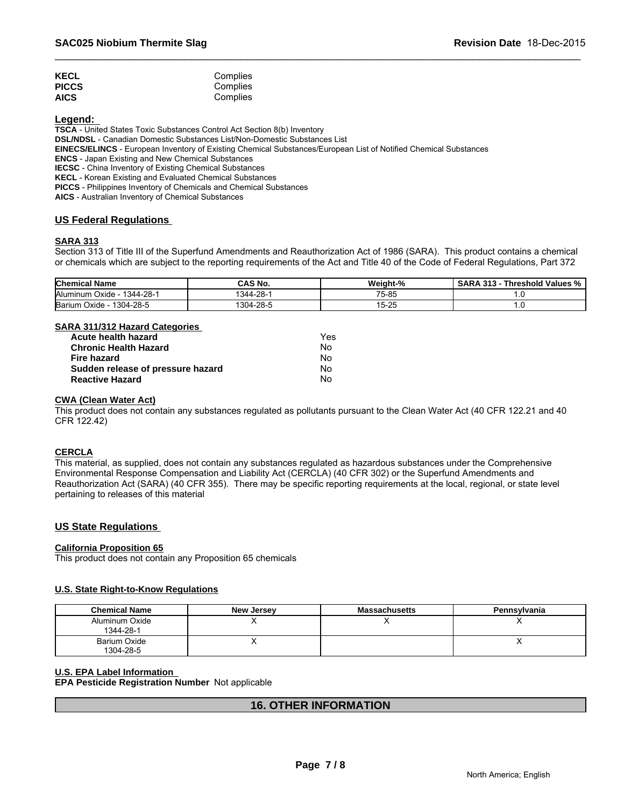| <b>KECL</b>  | Complies |  |
|--------------|----------|--|
| <b>PICCS</b> | Complies |  |
| <b>AICS</b>  | Complies |  |

**Legend:** 

**TSCA** - United States Toxic Substances Control Act Section 8(b) Inventory

**DSL/NDSL** - Canadian Domestic Substances List/Non-Domestic Substances List

**EINECS/ELINCS** - European Inventory of Existing Chemical Substances/European List of Notified Chemical Substances

**ENCS** - Japan Existing and New Chemical Substances

**IECSC** - China Inventory of Existing Chemical Substances

**KECL** - Korean Existing and Evaluated Chemical Substances

**PICCS** - Philippines Inventory of Chemicals and Chemical Substances

**AICS** - Australian Inventory of Chemical Substances

# **US Federal Regulations**

# **SARA 313**

Section 313 of Title III of the Superfund Amendments and Reauthorization Act of 1986 (SARA). This product contains a chemical or chemicals which are subject to the reporting requirements of the Act and Title 40 of the Code of Federal Regulations, Part 372

\_\_\_\_\_\_\_\_\_\_\_\_\_\_\_\_\_\_\_\_\_\_\_\_\_\_\_\_\_\_\_\_\_\_\_\_\_\_\_\_\_\_\_\_\_\_\_\_\_\_\_\_\_\_\_\_\_\_\_\_\_\_\_\_\_\_\_\_\_\_\_\_\_\_\_\_\_\_\_\_\_\_\_\_\_\_\_\_\_\_\_\_\_

| <b>Chemical Name</b>                       | <b>CAS No.</b>            | Weight-% | $\sim$ AD<br>242<br>`hreshold<br>∵Values %<br>n<br>. |
|--------------------------------------------|---------------------------|----------|------------------------------------------------------|
| $-28-$<br><b>Aluminum</b><br>1344<br>Oxide | $1344 - 2^{\circ}$<br>-28 | 75-85    |                                                      |
| Bariu<br>1304-28-5<br>Oxide                | 1304-28-5                 | 15-25    |                                                      |

# **SARA 311/312 Hazard Categories**

| Acute health hazard               | Yes |
|-----------------------------------|-----|
| <b>Chronic Health Hazard</b>      | N٥  |
| Fire hazard                       | N٥  |
| Sudden release of pressure hazard | N٥  |
| <b>Reactive Hazard</b>            | N٥  |

#### **CWA (Clean Water Act)**

This product does not contain any substances regulated as pollutants pursuant to the Clean Water Act (40 CFR 122.21 and 40 CFR 122.42)

# **CERCLA**

This material, as supplied, does not contain any substances regulated as hazardous substances under the Comprehensive Environmental Response Compensation and Liability Act (CERCLA) (40 CFR 302) or the Superfund Amendments and Reauthorization Act (SARA) (40 CFR 355). There may be specific reporting requirements at the local, regional, or state level pertaining to releases of this material

# **US State Regulations**

#### **California Proposition 65**

This product does not contain any Proposition 65 chemicals

# **U.S. State Right-to-Know Regulations**

| <b>Chemical Name</b>        | <b>New Jersey</b> | <b>Massachusetts</b> | <b>Pennsylvania</b> |
|-----------------------------|-------------------|----------------------|---------------------|
| Aluminum Oxide<br>1344-28-1 |                   |                      |                     |
| Barium Oxide<br>1304-28-5   |                   |                      | ,,                  |

# **U.S. EPA Label Information**

**EPA Pesticide Registration Number** Not applicable

# **16. OTHER INFORMATION**